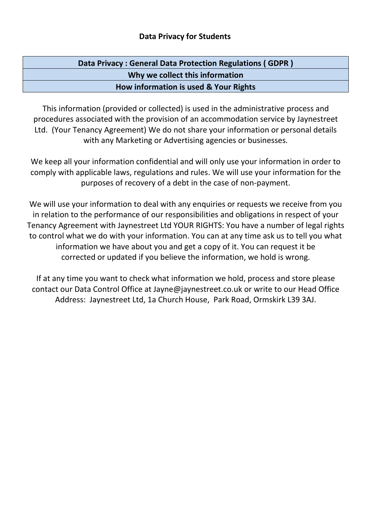## **Data Privacy for Students**

| Data Privacy: General Data Protection Regulations (GDPR) |  |
|----------------------------------------------------------|--|
| Why we collect this information                          |  |
| How information is used & Your Rights                    |  |

This information (provided or collected) is used in the administrative process and procedures associated with the provision of an accommodation service by Jaynestreet Ltd. (Your Tenancy Agreement) We do not share your information or personal details with any Marketing or Advertising agencies or businesses.

We keep all your information confidential and will only use your information in order to comply with applicable laws, regulations and rules. We will use your information for the purposes of recovery of a debt in the case of non-payment.

We will use your information to deal with any enquiries or requests we receive from you in relation to the performance of our responsibilities and obligations in respect of your Tenancy Agreement with Jaynestreet Ltd YOUR RIGHTS: You have a number of legal rights to control what we do with your information. You can at any time ask us to tell you what information we have about you and get a copy of it. You can request it be corrected or updated if you believe the information, we hold is wrong.

If at any time you want to check what information we hold, process and store please contact our Data Control Office at Jayne@jaynestreet.co.uk or write to our Head Office Address: Jaynestreet Ltd, 1a Church House, Park Road, Ormskirk L39 3AJ.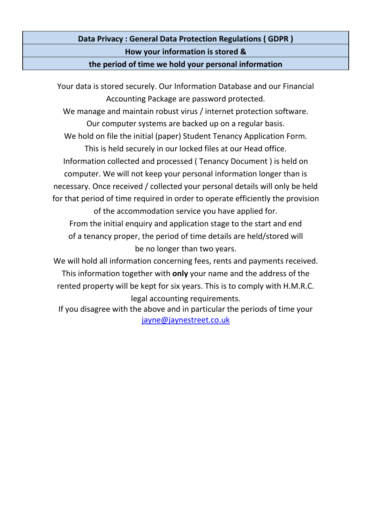**Data Privacy : General Data Protection Regulations ( GDPR ) How your information is stored &**

**the period of time we hold your personal information**

Your data is stored securely. Our Information Database and our Financial Accounting Package are password protected. We manage and maintain robust virus / internet protection software. Our computer systems are backed up on a regular basis. We hold on file the initial (paper) Student Tenancy Application Form. This is held securely in our locked files at our Head office. Information collected and processed ( Tenancy Document ) is held on computer. We will not keep your personal information longer than is necessary. Once received / collected your personal details will only be held for that period of time required in order to operate efficiently the provision of the accommodation service you have applied for. From the initial enquiry and application stage to the start and end of a tenancy proper, the period of time details are held/stored will be no longer than two years. We will hold all information concerning fees, rents and payments received. This information together with **only** your name and the address of the rented property will be kept for six years. This is to comply with H.M.R.C. legal accounting requirements.

If you disagree with the above and in particular the periods of time your [jayne@jaynestreet.co.uk](mailto:jayne@jaynestreet.co.uk)